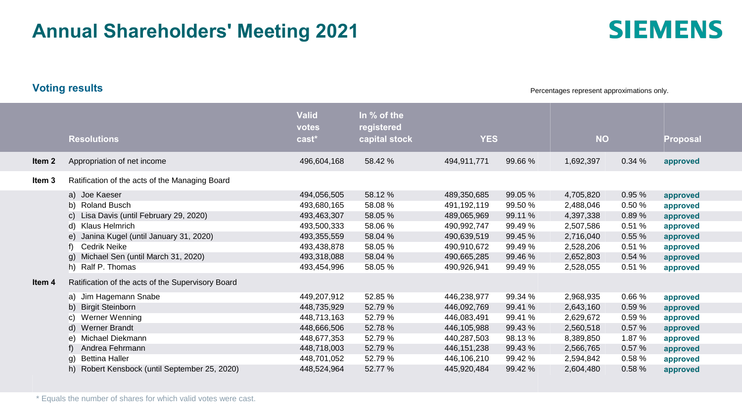# **Annual Shareholders' Meeting 2021**

**Voting results**

Percentages represent approximations only.

|        | <b>Resolutions</b>                                | <b>Valid</b><br>votes<br>cast* | In % of the<br>registered<br>capital stock | <b>YES</b>    |         | <b>NO</b> |        | <b>Proposal</b> |
|--------|---------------------------------------------------|--------------------------------|--------------------------------------------|---------------|---------|-----------|--------|-----------------|
| Item 2 | Appropriation of net income                       | 496,604,168                    | 58.42 %                                    | 494,911,771   | 99.66 % | 1,692,397 | 0.34%  | approved        |
| Item 3 | Ratification of the acts of the Managing Board    |                                |                                            |               |         |           |        |                 |
|        | a) Joe Kaeser                                     | 494,056,505                    | 58.12 %                                    | 489,350,685   | 99.05 % | 4,705,820 | 0.95%  | approved        |
|        | b) Roland Busch                                   | 493,680,165                    | 58.08 %                                    | 491,192,119   | 99.50 % | 2,488,046 | 0.50%  | approved        |
|        | c) Lisa Davis (until February 29, 2020)           | 493,463,307                    | 58.05 %                                    | 489,065,969   | 99.11 % | 4,397,338 | 0.89%  | approved        |
|        | d) Klaus Helmrich                                 | 493,500,333                    | 58.06%                                     | 490,992,747   | 99.49 % | 2,507,586 | 0.51 % | approved        |
|        | e) Janina Kugel (until January 31, 2020)          | 493,355,559                    | 58.04 %                                    | 490,639,519   | 99.45 % | 2,716,040 | 0.55%  | approved        |
|        | Cedrik Neike                                      | 493,438,878                    | 58.05 %                                    | 490,910,672   | 99.49 % | 2,528,206 | 0.51%  | approved        |
|        | g) Michael Sen (until March 31, 2020)             | 493,318,088                    | 58.04 %                                    | 490,665,285   | 99.46 % | 2,652,803 | 0.54%  | approved        |
|        | h) Ralf P. Thomas                                 | 493,454,996                    | 58.05 %                                    | 490,926,941   | 99.49 % | 2,528,055 | 0.51%  | approved        |
| Item 4 | Ratification of the acts of the Supervisory Board |                                |                                            |               |         |           |        |                 |
|        | a) Jim Hagemann Snabe                             | 449,207,912                    | 52.85 %                                    | 446,238,977   | 99.34 % | 2,968,935 | 0.66%  | approved        |
|        | b) Birgit Steinborn                               | 448,735,929                    | 52.79 %                                    | 446,092,769   | 99.41 % | 2,643,160 | 0.59 % | approved        |
|        | c) Werner Wenning                                 | 448,713,163                    | 52.79 %                                    | 446,083,491   | 99.41 % | 2,629,672 | 0.59%  | approved        |
|        | d) Werner Brandt                                  | 448,666,506                    | 52.78 %                                    | 446,105,988   | 99.43 % | 2,560,518 | 0.57%  | approved        |
|        | Michael Diekmann<br>e).                           | 448,677,353                    | 52.79 %                                    | 440,287,503   | 98.13 % | 8,389,850 | 1.87 % | approved        |
|        | Andrea Fehrmann                                   | 448,718,003                    | 52.79 %                                    | 446, 151, 238 | 99.43 % | 2,566,765 | 0.57 % | approved        |
|        | <b>Bettina Haller</b><br>a)                       | 448,701,052                    | 52.79 %                                    | 446,106,210   | 99.42 % | 2,594,842 | 0.58%  | approved        |
|        | Robert Kensbock (until September 25, 2020)        | 448.524.964                    | 52.77 %                                    | 445.920.484   | 99.42 % | 2.604.480 | 0.58%  | approved        |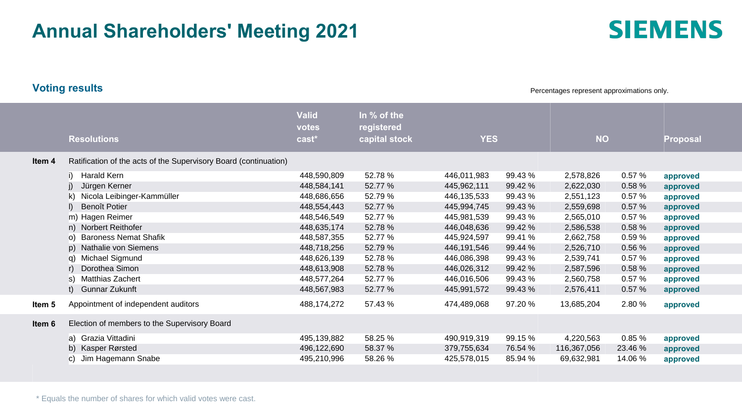# **Annual Shareholders' Meeting 2021**

**Voting results**

Percentages represent approximations only.

| <b>Resolutions</b>                                               | <b>Valid</b><br>votes<br>cast* | In % of the<br>registered<br>capital stock | <b>YES</b>  |         | <b>NO</b>   |         | <b>Proposal</b> |
|------------------------------------------------------------------|--------------------------------|--------------------------------------------|-------------|---------|-------------|---------|-----------------|
| Ratification of the acts of the Supervisory Board (continuation) |                                |                                            |             |         |             |         |                 |
| Harald Kern                                                      | 448,590,809                    | 52.78%                                     | 446,011,983 | 99.43 % | 2,578,826   | 0.57 %  | approved        |
| Jürgen Kerner                                                    | 448,584,141                    | 52.77 %                                    | 445,962,111 | 99.42 % | 2,622,030   | 0.58 %  | approved        |
| k) Nicola Leibinger-Kammüller                                    | 448,686,656                    | 52.79 %                                    | 446,135,533 | 99.43 % | 2,551,123   | 0.57 %  | approved        |
| Benoît Potier                                                    | 448,554,443                    | 52.77 %                                    | 445,994,745 | 99.43 % | 2,559,698   | 0.57%   | approved        |
| m) Hagen Reimer                                                  | 448,546,549                    | 52.77 %                                    | 445,981,539 | 99.43 % | 2,565,010   | 0.57%   | approved        |
| n) Norbert Reithofer                                             | 448,635,174                    | 52.78 %                                    | 446,048,636 | 99.42 % | 2,586,538   | 0.58%   | approved        |
| o) Baroness Nemat Shafik                                         | 448,587,355                    | 52.77 %                                    | 445,924,597 | 99.41 % | 2,662,758   | 0.59%   | approved        |
| p) Nathalie von Siemens                                          | 448,718,256                    | 52.79 %                                    | 446,191,546 | 99.44 % | 2,526,710   | 0.56%   | approved        |
| Michael Sigmund<br>q).                                           | 448,626,139                    | 52.78 %                                    | 446,086,398 | 99.43 % | 2,539,741   | 0.57%   | approved        |
| Dorothea Simon                                                   | 448,613,908                    | 52.78%                                     | 446,026,312 | 99.42 % | 2,587,596   | 0.58 %  | approved        |
| Matthias Zachert<br>s)                                           | 448,577,264                    | 52.77 %                                    | 446,016,506 | 99.43 % | 2,560,758   | 0.57 %  | approved        |
| Gunnar Zukunft                                                   | 448,567,983                    | 52.77 %                                    | 445,991,572 | 99.43 % | 2,576,411   | 0.57%   | approved        |
| Appointment of independent auditors                              | 488,174,272                    | 57.43 %                                    | 474,489,068 | 97.20%  | 13,685,204  | 2.80%   | approved        |
| Election of members to the Supervisory Board                     |                                |                                            |             |         |             |         |                 |
| a) Grazia Vittadini                                              | 495,139,882                    | 58.25 %                                    | 490,919,319 | 99.15 % | 4,220,563   | 0.85%   | approved        |
| b) Kasper Rørsted                                                | 496,122,690                    | 58.37 %                                    | 379,755,634 | 76.54 % | 116,367,056 | 23.46 % | approved        |
| c) Jim Hagemann Snabe                                            | 495,210,996                    | 58.26 %                                    | 425,578,015 | 85.94 % | 69,632,981  | 14.06%  | approved        |
|                                                                  |                                |                                            |             |         |             |         |                 |

\* Equals the number of shares for which valid votes were cast.